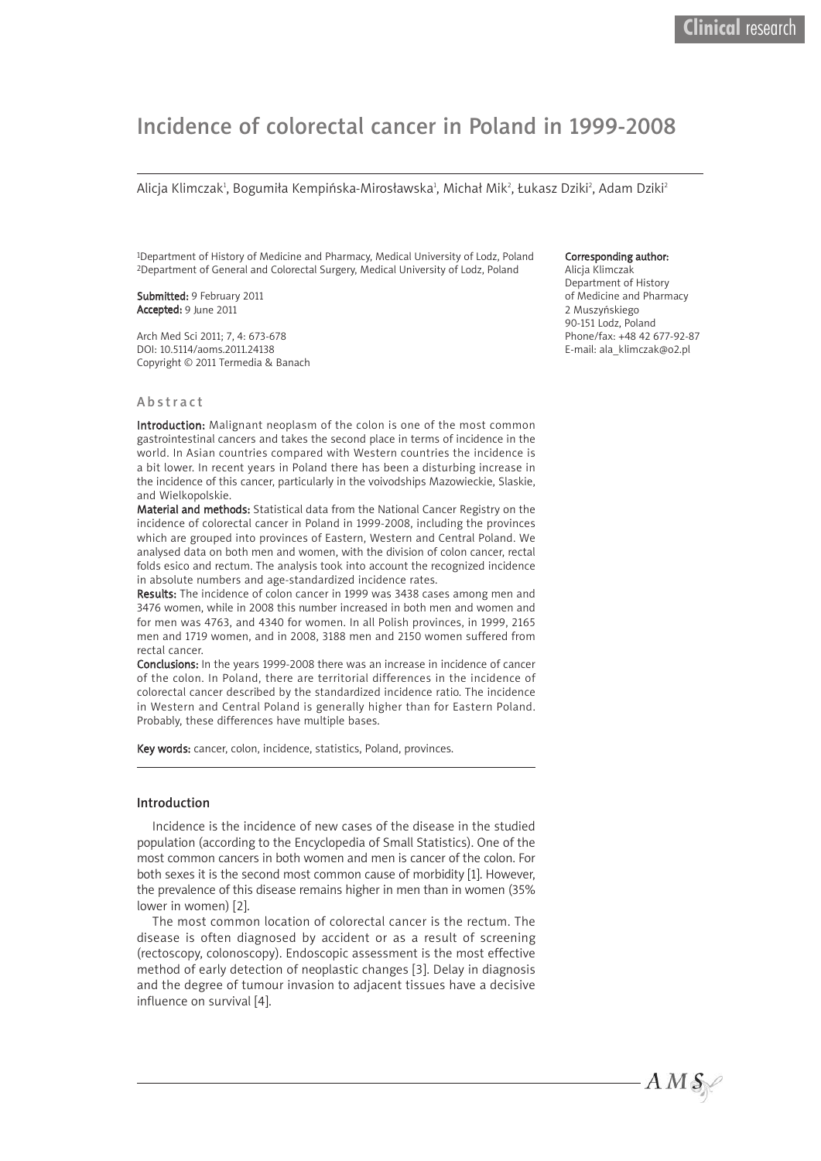# Incidence of colorectal cancer in Poland in 1999-2008

Alicja Klimczak', Bogumiła Kempińska-Mirosławska', Michał Mik', Łukasz Dziki', Adam Dziki'

1Department of History of Medicine and Pharmacy, Medical University of Lodz, Poland 2Department of General and Colorectal Surgery, Medical University of Lodz, Poland

Submitted: 9 February 2011 Accepted: 9 June 2011

Arch Med Sci 2011; 7, 4: 673-678 DOI: 10.5114/aoms.2011.24138 Copyright © 2011 Termedia & Banach

# **Abstract**

Introduction: Malignant neoplasm of the colon is one of the most common gastrointestinal cancers and takes the second place in terms of incidence in the world. In Asian countries compared with Western countries the incidence is a bit lower. In recent years in Poland there has been a disturbing increase in the incidence of this cancer, particularly in the voivodships Mazowieckie, Slaskie, and Wielkopolskie.

Material and methods: Statistical data from the National Cancer Registry on the incidence of colorectal cancer in Poland in 1999-2008, including the provinces which are grouped into provinces of Eastern, Western and Central Poland. We analysed data on both men and women, with the division of colon cancer, rectal folds esico and rectum. The analysis took into account the recognized incidence in absolute numbers and age-standardized incidence rates.

Results: The incidence of colon cancer in 1999 was 3438 cases among men and 3476 women, while in 2008 this number increased in both men and women and for men was 4763, and 4340 for women. In all Polish provinces, in 1999, 2165 men and 1719 women, and in 2008, 3188 men and 2150 women suffered from rectal cancer.

Conclusions: In the years 1999-2008 there was an increase in incidence of cancer of the colon. In Poland, there are territorial differences in the incidence of colorectal cancer described by the standardized incidence ratio. The incidence in Western and Central Poland is generally higher than for Eastern Poland. Probably, these differences have multiple bases.

Key words: cancer, colon, incidence, statistics, Poland, provinces.

### Introduction

Incidence is the incidence of new cases of the disease in the studied population (according to the Encyclopedia of Small Statistics). One of the most common cancers in both women and men is cancer of the colon. For both sexes it is the second most common cause of morbidity [1]. However, the prevalence of this disease remains higher in men than in women (35% lower in women) [2].

The most common location of colorectal cancer is the rectum. The disease is often diagnosed by accident or as a result of screening (rectoscopy, colonoscopy). Endoscopic assessment is the most effective method of early detection of neoplastic changes [3]. Delay in diagnosis and the degree of tumour invasion to adjacent tissues have a decisive influence on survival [4].

#### Corresponding author:

Alicja Klimczak Department of History of Medicine and Pharmacy 2 Muszyńskiego 90-151 Lodz, Poland Phone/fax: +48 42 677-92-87 E-mail: ala\_klimczak@o2.pl

 $AMS$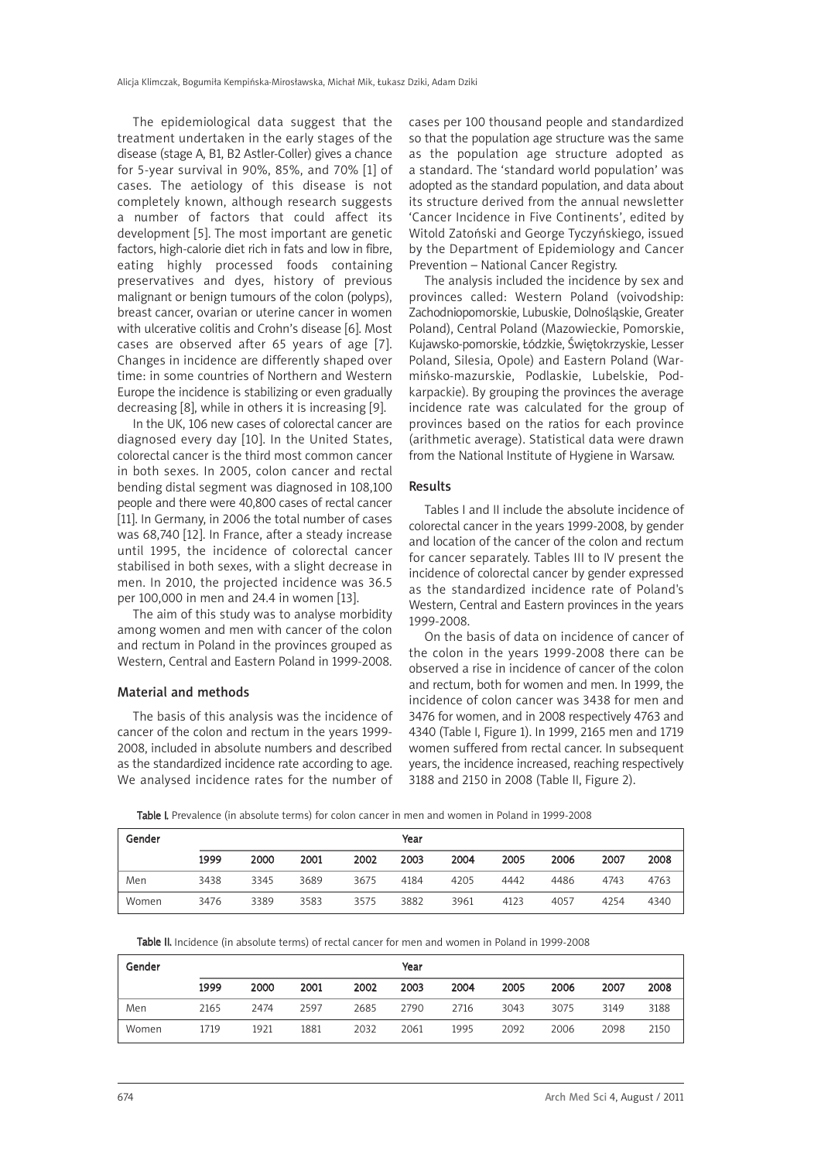The epidemiological data suggest that the treatment undertaken in the early stages of the disease (stage A, B1, B2 Astler-Coller) gives a chance for 5-year survival in 90%, 85%, and 70% [1] of cases. The aetiology of this disease is not completely known, although research suggests a number of factors that could affect its development [5]. The most important are genetic factors, high-calorie diet rich in fats and low in fibre, eating highly processed foods containing preservatives and dyes, history of previous malignant or benign tumours of the colon (polyps), breast cancer, ovarian or uterine cancer in women with ulcerative colitis and Crohn's disease [6]. Most cases are observed after 65 years of age [7]. Changes in incidence are differently shaped over time: in some countries of Northern and Western Europe the incidence is stabilizing or even gradually decreasing [8], while in others it is increasing [9].

In the UK, 106 new cases of colorectal cancer are diagnosed every day [10]. In the United States, colorectal cancer is the third most common cancer in both sexes. In 2005, colon cancer and rectal bending distal segment was diagnosed in 108,100 people and there were 40,800 cases of rectal cancer [11]. In Germany, in 2006 the total number of cases was 68,740 [12]. In France, after a steady increase until 1995, the incidence of colorectal cancer stabilised in both sexes, with a slight decrease in men. In 2010, the projected incidence was 36.5 per 100,000 in men and 24.4 in women [13].

The aim of this study was to analyse morbidity among women and men with cancer of the colon and rectum in Poland in the provinces grouped as Western, Central and Eastern Poland in 1999-2008.

# Material and methods

The basis of this analysis was the incidence of cancer of the colon and rectum in the years 1999- 2008, included in absolute numbers and described as the standardized incidence rate according to age. We analysed incidence rates for the number of cases per 100 thousand people and standardized so that the population age structure was the same as the population age structure adopted as a standard. The 'standard world population' was adopted as the standard population, and data about its structure derived from the annual newsletter 'Cancer Incidence in Five Continents', edited by Witold Zatoński and George Tyczyńskiego, issued by the Department of Epidemiology and Cancer Prevention – National Cancer Registry.

The analysis included the incidence by sex and provinces called: Western Poland (voivodship: Zachodniopomorskie, Lubuskie, Dolnośląskie, Greater Poland), Central Poland (Mazowieckie, Pomorskie, Kujawsko-pomorskie, Łódzkie, Świętokrzyskie, Lesser Poland, Silesia, Opole) and Eastern Poland (Warmińsko-mazurskie, Podlaskie, Lubelskie, Podkarpackie). By grouping the provinces the average incidence rate was calculated for the group of provinces based on the ratios for each province (arithmetic average). Statistical data were drawn from the National Institute of Hygiene in Warsaw.

#### Results

Tables I and II include the absolute incidence of colorectal cancer in the years 1999-2008, by gender and location of the cancer of the colon and rectum for cancer separately. Tables III to IV present the incidence of colorectal cancer by gender expressed as the standardized incidence rate of Poland's Western, Central and Eastern provinces in the years 1999-2008.

On the basis of data on incidence of cancer of the colon in the years 1999-2008 there can be observed a rise in incidence of cancer of the colon and rectum, both for women and men. In 1999, the incidence of colon cancer was 3438 for men and 3476 for women, and in 2008 respectively 4763 and 4340 (Table I, Figure 1). In 1999, 2165 men and 1719 women suffered from rectal cancer. In subsequent years, the incidence increased, reaching respectively 3188 and 2150 in 2008 (Table II, Figure 2).

Table I. Prevalence (in absolute terms) for colon cancer in men and women in Poland in 1999-2008

| Gender | Year |      |      |      |      |      |      |      |      |      |
|--------|------|------|------|------|------|------|------|------|------|------|
|        | 1999 | 2000 | 2001 | 2002 | 2003 | 2004 | 2005 | 2006 | 2007 | 2008 |
| Men    | 3438 | 3345 | 3689 | 3675 | 4184 | 4205 | 4442 | 4486 | 4743 | 4763 |
| Women  | 3476 | 3389 | 3583 | 3575 | 3882 | 3961 | 4123 | 4057 | 4254 | 4340 |

Table II. Incidence (in absolute terms) of rectal cancer for men and women in Poland in 1999-2008

| Gender |      |      |      |      | Year |      |      |      |      |      |
|--------|------|------|------|------|------|------|------|------|------|------|
|        | 1999 | 2000 | 2001 | 2002 | 2003 | 2004 | 2005 | 2006 | 2007 | 2008 |
| Men    | 2165 | 2474 | 2597 | 2685 | 2790 | 2716 | 3043 | 3075 | 3149 | 3188 |
| Women  | 1719 | 1921 | 1881 | 2032 | 2061 | 1995 | 2092 | 2006 | 2098 | 2150 |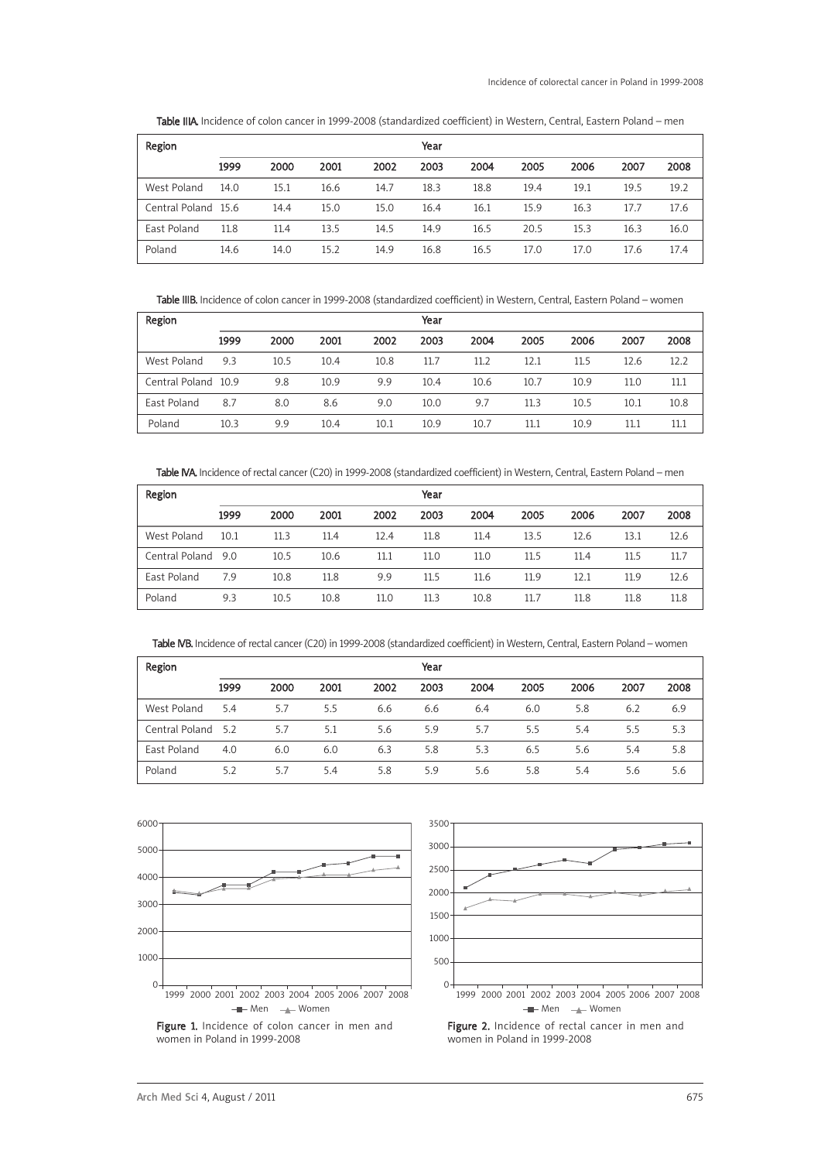Table IIIA. Incidence of colon cancer in 1999-2008 (standardized coefficient) in Western, Central, Eastern Poland – men

| Region              |      |      |      | Year |      |      |      |      |      |      |
|---------------------|------|------|------|------|------|------|------|------|------|------|
|                     | 1999 | 2000 | 2001 | 2002 | 2003 | 2004 | 2005 | 2006 | 2007 | 2008 |
| West Poland         | 14.0 | 15.1 | 16.6 | 14.7 | 18.3 | 18.8 | 19.4 | 19.1 | 19.5 | 19.2 |
| Central Poland 15.6 |      | 14.4 | 15.0 | 15.0 | 16.4 | 16.1 | 15.9 | 16.3 | 17.7 | 17.6 |
| East Poland         | 11.8 | 11.4 | 13.5 | 14.5 | 14.9 | 16.5 | 20.5 | 15.3 | 16.3 | 16.0 |
| Poland              | 14.6 | 14.0 | 15.2 | 14.9 | 16.8 | 16.5 | 17.0 | 17.0 | 17.6 | 17.4 |

Table IIIB. Incidence of colon cancer in 1999-2008 (standardized coefficient) in Western, Central, Eastern Poland – women

| Region              |      |      |      |      | Year |      |      |      |      |      |  |  |
|---------------------|------|------|------|------|------|------|------|------|------|------|--|--|
|                     | 1999 | 2000 | 2001 | 2002 | 2003 | 2004 | 2005 | 2006 | 2007 | 2008 |  |  |
| West Poland         | 9.3  | 10.5 | 10.4 | 10.8 | 11.7 | 11.2 | 12.1 | 11.5 | 12.6 | 12.2 |  |  |
| Central Poland 10.9 |      | 9.8  | 10.9 | 9.9  | 10.4 | 10.6 | 10.7 | 10.9 | 11.0 | 11.1 |  |  |
| East Poland         | 8.7  | 8.0  | 8.6  | 9.0  | 10.0 | 9.7  | 11.3 | 10.5 | 10.1 | 10.8 |  |  |
| Poland              | 10.3 | 9.9  | 10.4 | 10.1 | 10.9 | 10.7 | 11.1 | 10.9 | 11.1 | 11.1 |  |  |

Table IVA. Incidence of rectal cancer (C20) in 1999-2008 (standardized coefficient) in Western, Central, Eastern Poland – men

| Region             |      |      |      |      | Year |      |      |      |      |      |
|--------------------|------|------|------|------|------|------|------|------|------|------|
|                    | 1999 | 2000 | 2001 | 2002 | 2003 | 2004 | 2005 | 2006 | 2007 | 2008 |
| West Poland        | 10.1 | 11.3 | 11.4 | 12.4 | 11.8 | 11.4 | 13.5 | 12.6 | 13.1 | 12.6 |
| Central Poland 9.0 |      | 10.5 | 10.6 | 11.1 | 11.0 | 11.0 | 11.5 | 11.4 | 11.5 | 11.7 |
| East Poland        | 7.9  | 10.8 | 11.8 | 9.9  | 11.5 | 11.6 | 11.9 | 12.1 | 11.9 | 12.6 |
| Poland             | 9.3  | 10.5 | 10.8 | 11.0 | 11.3 | 10.8 | 11.7 | 11.8 | 11.8 | 11.8 |

Table IVB. Incidence of rectal cancer (C20) in 1999-2008 (standardized coefficient) in Western, Central, Eastern Poland – women

| Region             |      |      |      |      | Year |      |      |      |      |      |
|--------------------|------|------|------|------|------|------|------|------|------|------|
|                    | 1999 | 2000 | 2001 | 2002 | 2003 | 2004 | 2005 | 2006 | 2007 | 2008 |
| West Poland        | 5.4  | 5.7  | 5.5  | 6.6  | 6.6  | 6.4  | 6.0  | 5.8  | 6.2  | 6.9  |
| Central Poland 5.2 |      | 5.7  | 5.1  | 5.6  | 5.9  | 5.7  | 5.5  | 5.4  | 5.5  | 5.3  |
| East Poland        | 4.0  | 6.0  | 6.0  | 6.3  | 5.8  | 5.3  | 6.5  | 5.6  | 5.4  | 5.8  |
| Poland             | 5.2  | 5.7  | 5.4  | 5.8  | 5.9  | 5.6  | 5.8  | 5.4  | 5.6  | 5.6  |



women in Poland in 1999-2008

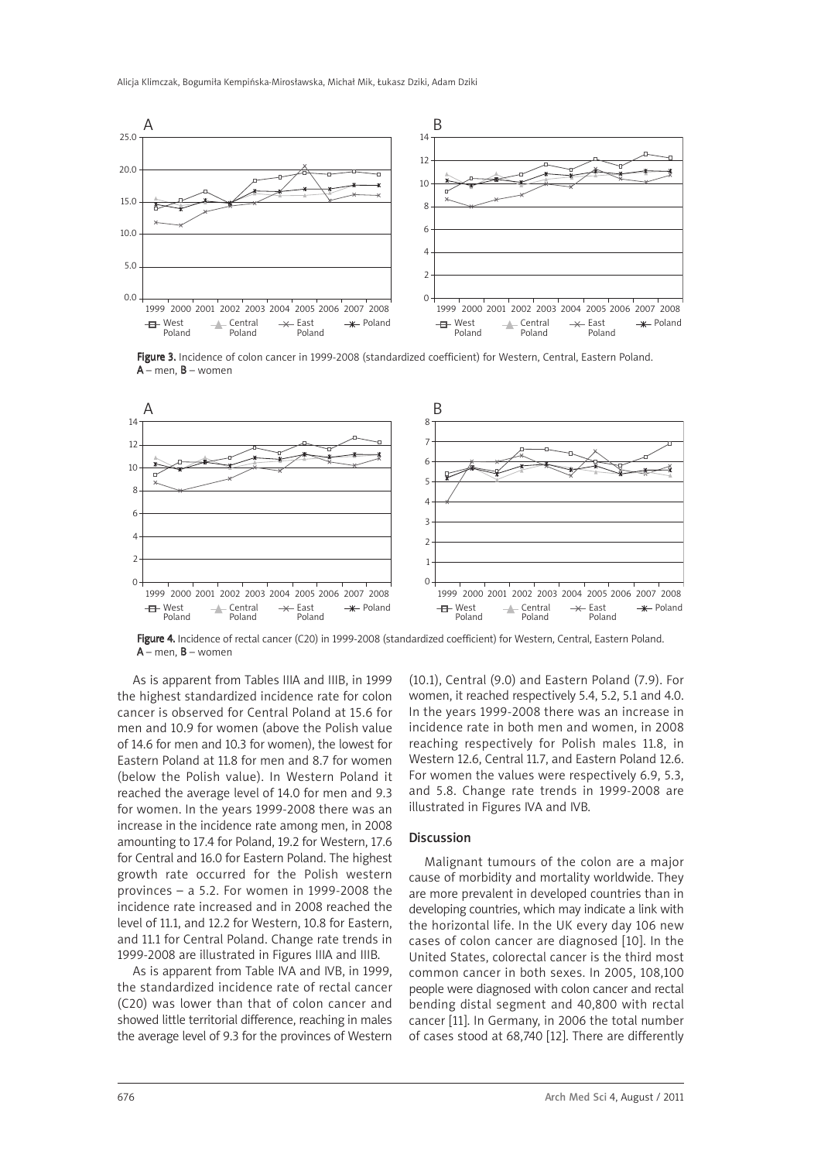

Figure 3. Incidence of colon cancer in 1999-2008 (standardized coefficient) for Western, Central, Eastern Poland.  $A$  – men,  $B$  – women



Figure 4. Incidence of rectal cancer (C20) in 1999-2008 (standardized coefficient) for Western, Central, Eastern Poland.  $A -$ men,  $B -$ women

As is apparent from Tables IIIA and IIIB, in 1999 the highest standardized incidence rate for colon cancer is observed for Central Poland at 15.6 for men and 10.9 for women (above the Polish value of 14.6 for men and 10.3 for women), the lowest for Eastern Poland at 11.8 for men and 8.7 for women (below the Polish value). In Western Poland it reached the average level of 14.0 for men and 9.3 for women. In the years 1999-2008 there was an increase in the incidence rate among men, in 2008 amounting to 17.4 for Poland, 19.2 for Western, 17.6 for Central and 16.0 for Eastern Poland. The highest growth rate occurred for the Polish western provinces – a 5.2. For women in 1999-2008 the incidence rate increased and in 2008 reached the level of 11.1, and 12.2 for Western, 10.8 for Eastern, and 11.1 for Central Poland. Change rate trends in 1999-2008 are illustrated in Figures IIIA and IIIB.

As is apparent from Table IVA and IVB, in 1999, the standardized incidence rate of rectal cancer (C20) was lower than that of colon cancer and showed little territorial difference, reaching in males the average level of 9.3 for the provinces of Western (10.1), Central (9.0) and Eastern Poland (7.9). For women, it reached respectively 5.4, 5.2, 5.1 and 4.0. In the years 1999-2008 there was an increase in incidence rate in both men and women, in 2008 reaching respectively for Polish males 11.8, in Western 12.6, Central 11.7, and Eastern Poland 12.6. For women the values were respectively 6.9, 5.3, and 5.8. Change rate trends in 1999-2008 are illustrated in Figures IVA and IVB.

## Discussion

Malignant tumours of the colon are a major cause of morbidity and mortality worldwide. They are more prevalent in developed countries than in developing countries, which may indicate a link with the horizontal life. In the UK every day 106 new cases of colon cancer are diagnosed [10]. In the United States, colorectal cancer is the third most common cancer in both sexes. In 2005, 108,100 people were diagnosed with colon cancer and rectal bending distal segment and 40,800 with rectal cancer [11]. In Germany, in 2006 the total number of cases stood at 68,740 [12]. There are differently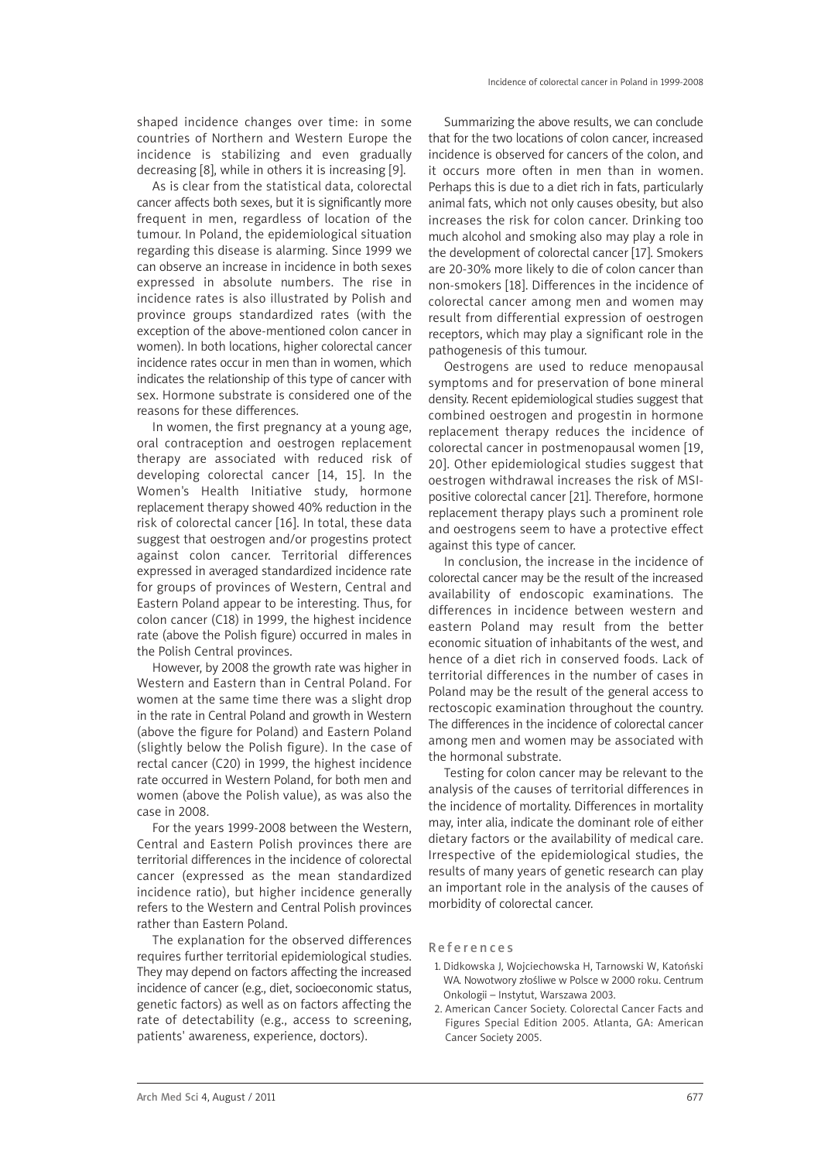shaped incidence changes over time: in some countries of Northern and Western Europe the incidence is stabilizing and even gradually decreasing [8], while in others it is increasing [9].

As is clear from the statistical data, colorectal cancer affects both sexes, but it is significantly more frequent in men, regardless of location of the tumour. In Poland, the epidemiological situation regarding this disease is alarming. Since 1999 we can observe an increase in incidence in both sexes expressed in absolute numbers. The rise in incidence rates is also illustrated by Polish and province groups standardized rates (with the exception of the above-mentioned colon cancer in women). In both locations, higher colorectal cancer incidence rates occur in men than in women, which indicates the relationship of this type of cancer with sex. Hormone substrate is considered one of the reasons for these differences.

In women, the first pregnancy at a young age, oral contraception and oestrogen replacement therapy are associated with reduced risk of developing colorectal cancer [14, 15]. In the Women's Health Initiative study, hormone replacement therapy showed 40% reduction in the risk of colorectal cancer [16]. In total, these data suggest that oestrogen and/or progestins protect against colon cancer. Territorial differences expressed in averaged standardized incidence rate for groups of provinces of Western, Central and Eastern Poland appear to be interesting. Thus, for colon cancer (C18) in 1999, the highest incidence rate (above the Polish figure) occurred in males in the Polish Central provinces.

However, by 2008 the growth rate was higher in Western and Eastern than in Central Poland. For women at the same time there was a slight drop in the rate in Central Poland and growth in Western (above the figure for Poland) and Eastern Poland (slightly below the Polish figure). In the case of rectal cancer (C20) in 1999, the highest incidence rate occurred in Western Poland, for both men and women (above the Polish value), as was also the case in 2008.

For the years 1999-2008 between the Western, Central and Eastern Polish provinces there are territorial differences in the incidence of colorectal cancer (expressed as the mean standardized incidence ratio), but higher incidence generally refers to the Western and Central Polish provinces rather than Eastern Poland.

The explanation for the observed differences requires further territorial epidemiological studies. They may depend on factors affecting the increased incidence of cancer (e.g., diet, socioeconomic status, genetic factors) as well as on factors affecting the rate of detectability (e.g., access to screening, patients' awareness, experience, doctors).

Summarizing the above results, we can conclude that for the two locations of colon cancer, increased incidence is observed for cancers of the colon, and it occurs more often in men than in women. Perhaps this is due to a diet rich in fats, particularly animal fats, which not only causes obesity, but also increases the risk for colon cancer. Drinking too much alcohol and smoking also may play a role in the development of colorectal cancer [17]. Smokers are 20-30% more likely to die of colon cancer than non-smokers [18]. Differences in the incidence of colorectal cancer among men and women may result from differential expression of oestrogen receptors, which may play a significant role in the pathogenesis of this tumour.

Oestrogens are used to reduce menopausal symptoms and for preservation of bone mineral density. Recent epidemiological studies suggest that combined oestrogen and progestin in hormone replacement therapy reduces the incidence of colorectal cancer in postmenopausal women [19, 20]. Other epidemiological studies suggest that oestrogen withdrawal increases the risk of MSIpositive colorectal cancer [21]. Therefore, hormone replacement therapy plays such a prominent role and oestrogens seem to have a protective effect against this type of cancer.

In conclusion, the increase in the incidence of colorectal cancer may be the result of the increased availability of endoscopic examinations. The differences in incidence between western and eastern Poland may result from the better economic situation of inhabitants of the west, and hence of a diet rich in conserved foods. Lack of territorial differences in the number of cases in Poland may be the result of the general access to rectoscopic examination throughout the country. The differences in the incidence of colorectal cancer among men and women may be associated with the hormonal substrate.

Testing for colon cancer may be relevant to the analysis of the causes of territorial differences in the incidence of mortality. Differences in mortality may, inter alia, indicate the dominant role of either dietary factors or the availability of medical care. Irrespective of the epidemiological studies, the results of many years of genetic research can play an important role in the analysis of the causes of morbidity of colorectal cancer.

## **References**

- 1. Didkowska J, Wojciechowska H, Tarnowski W, Katoński WA. Nowotwory złośliwe w Polsce w 2000 roku. Centrum Onkologii – Instytut, Warszawa 2003.
- 2. American Cancer Society. Colorectal Cancer Facts and Figures Special Edition 2005. Atlanta, GA: American Cancer Society 2005.